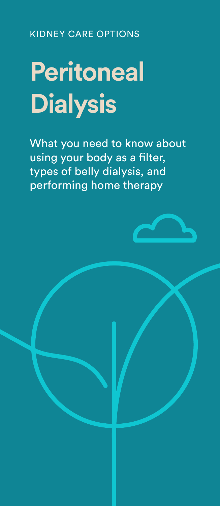KIDNEY CARE OPTIONS

# **Peritoneal Dialysis**

What you need to know about using your body as a filter, types of belly dialysis, and performing home therapy

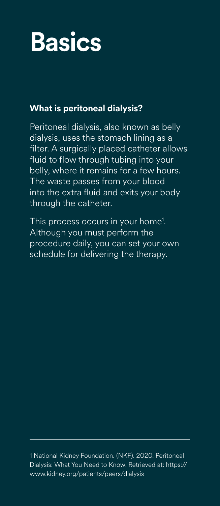## **Basics**

### **What is peritoneal dialysis?**

Peritoneal dialysis, also known as belly dialysis, uses the stomach lining as a filter. A surgically placed catheter allows fluid to flow through tubing into your belly, where it remains for a few hours. The waste passes from your blood into the extra fluid and exits your body through the catheter.

This process occurs in your home<sup>1</sup>. Although you must perform the procedure daily, you can set your own schedule for delivering the therapy.

1 National Kidney Foundation. (NKF). 2020. Peritoneal Dialysis: What You Need to Know. Retrieved at: https:// www.kidney.org/patients/peers/dialysis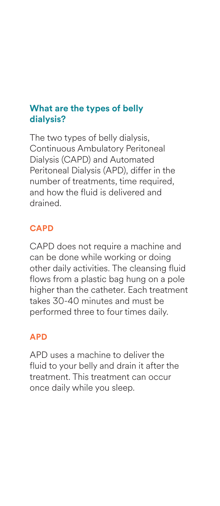#### **What are the types of belly dialysis?**

The two types of belly dialysis, Continuous Ambulatory Peritoneal Dialysis (CAPD) and Automated Peritoneal Dialysis (APD), differ in the number of treatments, time required, and how the fluid is delivered and drained.

#### **CAPD**

CAPD does not require a machine and can be done while working or doing other daily activities. The cleansing fluid flows from a plastic bag hung on a pole higher than the catheter. Each treatment takes 30-40 minutes and must be performed three to four times daily.

#### **APD**

APD uses a machine to deliver the fluid to your belly and drain it after the treatment. This treatment can occur once daily while you sleep.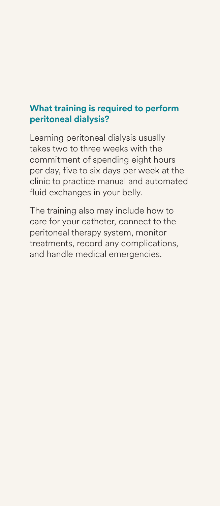#### **What training is required to perform peritoneal dialysis?**

Learning peritoneal dialysis usually takes two to three weeks with the commitment of spending eight hours per day, five to six days per week at the clinic to practice manual and automated fluid exchanges in your belly.

The training also may include how to care for your catheter, connect to the peritoneal therapy system, monitor treatments, record any complications, and handle medical emergencies.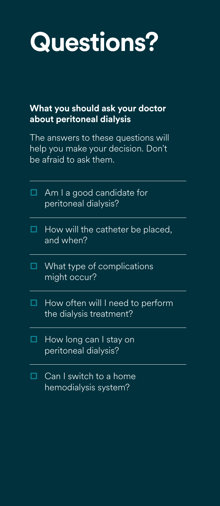### **Questions?**

#### **What you should ask your doctor about peritoneal dialysis**

The answers to these questions will help you make your decision. Don't be afraid to ask them.

|   | $\Box$ Am I a good candidate for<br>peritoneal dialysis?    |
|---|-------------------------------------------------------------|
| □ | How will the catheter be placed,<br>and when?               |
| ⊔ | What type of complications<br>might occur?                  |
|   | How often will I need to perform<br>the dialysis treatment? |
|   | How long can I stay on<br>peritoneal dialysis?              |
|   | Can I switch to a home<br>hemodialysis system?              |